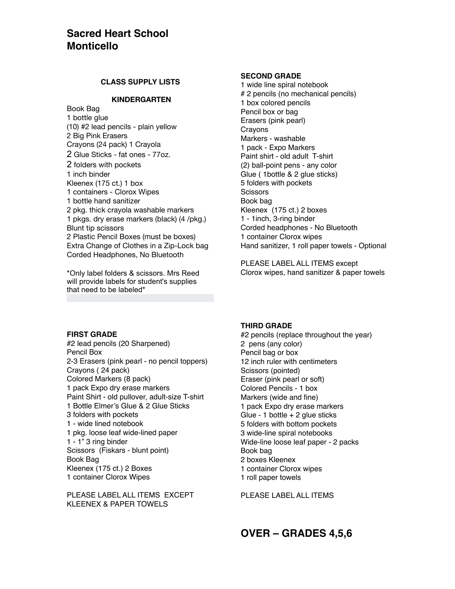# **Sacred Heart School Monticello**

# **CLASS SUPPLY LISTS**

## **KINDERGARTEN**

Book Bag 1 bottle glue (10) #2 lead pencils - plain yellow 2 Big Pink Erasers Crayons (24 pack) 1 Crayola 2 Glue Sticks - fat ones - 77oz. 2 folders with pockets 1 inch binder Kleenex (175 ct.) 1 box 1 containers - Clorox Wipes 1 bottle hand sanitizer 2 pkg. thick crayola washable markers 1 pkgs. dry erase markers (black) (4 /pkg.) Blunt tip scissors 2 Plastic Pencil Boxes (must be boxes) Extra Change of Clothes in a Zip-Lock bag Corded Headphones, No Bluetooth

\*Only label folders & scissors. Mrs Reed will provide labels for student's supplies that need to be labeled\*

## **SECOND GRADE**

1 wide line spiral notebook # 2 pencils (no mechanical pencils) 1 box colored pencils Pencil box or bag Erasers (pink pearl) Crayons Markers - washable 1 pack - Expo Markers Paint shirt - old adult T-shirt (2) ball-point pens - any color Glue ( 1bottle & 2 glue sticks) 5 folders with pockets **Scissors** Book bag Kleenex (175 ct.) 2 boxes 1 - 1inch, 3-ring binder Corded headphones - No Bluetooth 1 container Clorox wipes Hand sanitizer, 1 roll paper towels - Optional

PLEASE LABEL ALL ITEMS except Clorox wipes, hand sanitizer & paper towels

## **FIRST GRADE**

#2 lead pencils (20 Sharpened) Pencil Box 2-3 Erasers (pink pearl - no pencil toppers) Crayons ( 24 pack) Colored Markers (8 pack) 1 pack Expo dry erase markers Paint Shirt - old pullover, adult-size T-shirt 1 Bottle Elmer's Glue & 2 Glue Sticks 3 folders with pockets 1 - wide lined notebook 1 pkg. loose leaf wide-lined paper 1 - 1" 3 ring binder Scissors (Fiskars - blunt point) Book Bag Kleenex (175 ct.) 2 Boxes 1 container Clorox Wipes

PLEASE LABEL ALL ITEMS EXCEPT KLEENEX & PAPER TOWELS

## **THIRD GRADE**

#2 pencils (replace throughout the year) 2 pens (any color) Pencil bag or box 12 inch ruler with centimeters Scissors (pointed) Eraser (pink pearl or soft) Colored Pencils - 1 box Markers (wide and fine) 1 pack Expo dry erase markers Glue - 1 bottle  $+ 2$  glue sticks 5 folders with bottom pockets 3 wide-line spiral notebooks Wide-line loose leaf paper - 2 packs Book bag 2 boxes Kleenex 1 container Clorox wipes 1 roll paper towels

PLEASE LABEL ALL ITEMS

**OVER – GRADES 4,5,6**